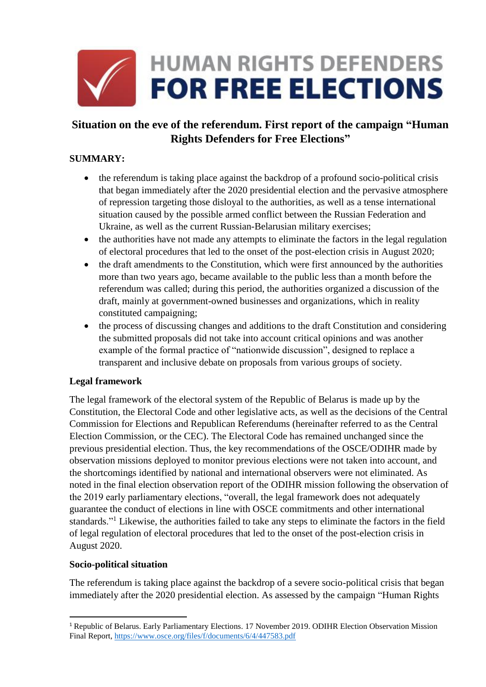

# **Situation on the eve of the referendum. First report of the campaign "Human Rights Defenders for Free Elections"**

## **SUMMARY:**

- the referendum is taking place against the backdrop of a profound socio-political crisis that began immediately after the 2020 presidential election and the pervasive atmosphere of repression targeting those disloyal to the authorities, as well as a tense international situation caused by the possible armed conflict between the Russian Federation and Ukraine, as well as the current Russian-Belarusian military exercises;
- the authorities have not made any attempts to eliminate the factors in the legal regulation of electoral procedures that led to the onset of the post-election crisis in August 2020;
- the draft amendments to the Constitution, which were first announced by the authorities more than two years ago, became available to the public less than a month before the referendum was called; during this period, the authorities organized a discussion of the draft, mainly at government-owned businesses and organizations, which in reality constituted campaigning;
- the process of discussing changes and additions to the draft Constitution and considering the submitted proposals did not take into account critical opinions and was another example of the formal practice of "nationwide discussion", designed to replace a transparent and inclusive debate on proposals from various groups of society.

#### **Legal framework**

The legal framework of the electoral system of the Republic of Belarus is made up by the Constitution, the Electoral Code and other legislative acts, as well as the decisions of the Central Commission for Elections and Republican Referendums (hereinafter referred to as the Central Election Commission, or the CEC). The Electoral Code has remained unchanged since the previous presidential election. Thus, the key recommendations of the OSCE/ODIHR made by observation missions deployed to monitor previous elections were not taken into account, and the shortcomings identified by national and international observers were not eliminated. As noted in the final election observation report of the ODIHR mission following the observation of the 2019 early parliamentary elections, "overall, the legal framework does not adequately guarantee the conduct of elections in line with OSCE commitments and other international standards."<sup>1</sup> Likewise, the authorities failed to take any steps to eliminate the factors in the field of legal regulation of electoral procedures that led to the onset of the post-election crisis in August 2020.

#### **Socio-political situation**

**.** 

The referendum is taking place against the backdrop of a severe socio-political crisis that began immediately after the 2020 presidential election. As assessed by the campaign "Human Rights

<sup>&</sup>lt;sup>1</sup> Republic of Belarus. Early Parliamentary Elections. 17 November 2019. ODIHR Election Observation Mission Final Report, <https://www.osce.org/files/f/documents/6/4/447583.pdf>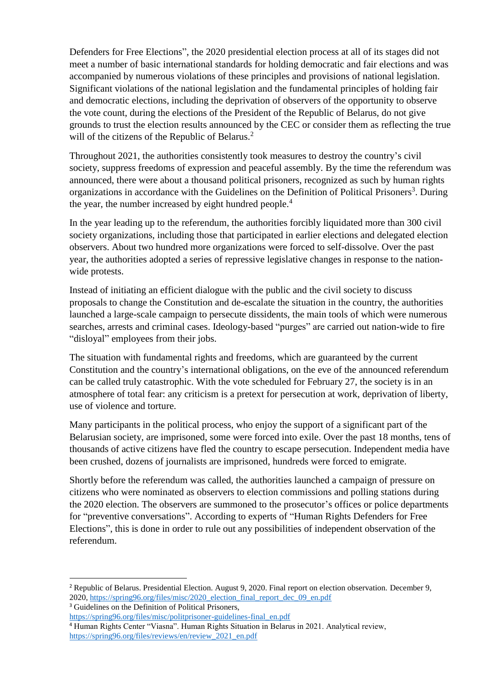Defenders for Free Elections", the 2020 presidential election process at all of its stages did not meet a number of basic international standards for holding democratic and fair elections and was accompanied by numerous violations of these principles and provisions of national legislation. Significant violations of the national legislation and the fundamental principles of holding fair and democratic elections, including the deprivation of observers of the opportunity to observe the vote count, during the elections of the President of the Republic of Belarus, do not give grounds to trust the election results announced by the CEC or consider them as reflecting the true will of the citizens of the Republic of Belarus.<sup>2</sup>

Throughout 2021, the authorities consistently took measures to destroy the country's civil society, suppress freedoms of expression and peaceful assembly. By the time the referendum was announced, there were about a thousand political prisoners, recognized as such by human rights organizations in accordance with the Guidelines on the Definition of Political Prisoners<sup>3</sup>. During the year, the number increased by eight hundred people.<sup>4</sup>

In the year leading up to the referendum, the authorities forcibly liquidated more than 300 civil society organizations, including those that participated in earlier elections and delegated election observers. About two hundred more organizations were forced to self-dissolve. Over the past year, the authorities adopted a series of repressive legislative changes in response to the nationwide protests.

Instead of initiating an efficient dialogue with the public and the civil society to discuss proposals to change the Constitution and de-escalate the situation in the country, the authorities launched a large-scale campaign to persecute dissidents, the main tools of which were numerous searches, arrests and criminal cases. Ideology-based "purges" are carried out nation-wide to fire "disloyal" employees from their jobs.

The situation with fundamental rights and freedoms, which are guaranteed by the current Constitution and the country's international obligations, on the eve of the announced referendum can be called truly catastrophic. With the vote scheduled for February 27, the society is in an atmosphere of total fear: any criticism is a pretext for persecution at work, deprivation of liberty, use of violence and torture.

Many participants in the political process, who enjoy the support of a significant part of the Belarusian society, are imprisoned, some were forced into exile. Over the past 18 months, tens of thousands of active citizens have fled the country to escape persecution. Independent media have been crushed, dozens of journalists are imprisoned, hundreds were forced to emigrate.

Shortly before the referendum was called, the authorities launched a campaign of pressure on citizens who were nominated as observers to election commissions and polling stations during the 2020 election. The observers are summoned to the prosecutor's offices or police departments for "preventive conversations". According to experts of "Human Rights Defenders for Free Elections", this is done in order to rule out any possibilities of independent observation of the referendum.

<sup>3</sup> Guidelines on the Definition of Political Prisoners,

 $\overline{a}$ 

<sup>2</sup> Republic of Belarus. Presidential Election. August 9, 2020. Final report on election observation. December 9, 2020, [https://spring96.org/files/misc/2020\\_election\\_final\\_report\\_dec\\_09\\_en.pdf](https://spring96.org/files/misc/2020_election_final_report_dec_09_en.pdf)

[https://spring96.org/files/misc/politprisoner-guidelines-final\\_en.pdf](https://spring96.org/files/misc/politprisoner-guidelines-final_en.pdf) <sup>4</sup> Human Rights Center "Viasna". Human Rights Situation in Belarus in 2021. Analytical review, [https://spring96.org/files/reviews/en/review\\_2021\\_en.pdf](https://spring96.org/files/reviews/en/review_2021_en.pdf)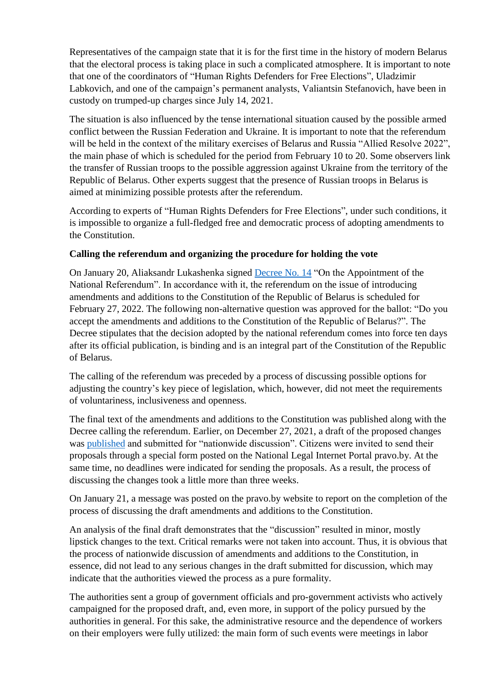Representatives of the campaign state that it is for the first time in the history of modern Belarus that the electoral process is taking place in such a complicated atmosphere. It is important to note that one of the coordinators of "Human Rights Defenders for Free Elections", Uladzimir Labkovich, and one of the campaign's permanent analysts, Valiantsin Stefanovich, have been in custody on trumped-up charges since July 14, 2021.

The situation is also influenced by the tense international situation caused by the possible armed conflict between the Russian Federation and Ukraine. It is important to note that the referendum will be held in the context of the military exercises of Belarus and Russia "Allied Resolve 2022", the main phase of which is scheduled for the period from February 10 to 20. Some observers link the transfer of Russian troops to the possible aggression against Ukraine from the territory of the Republic of Belarus. Other experts suggest that the presence of Russian troops in Belarus is aimed at minimizing possible protests after the referendum.

According to experts of "Human Rights Defenders for Free Elections", under such conditions, it is impossible to organize a full-fledged free and democratic process of adopting amendments to the Constitution.

## **Calling the referendum and organizing the procedure for holding the vote**

On January 20, Aliaksandr Lukashenka signed [Decree](https://pravo.by/document/?guid=12551&p0=P32200014&p1=1&p5=0) No. 14 "On the Appointment of the National Referendum". In accordance with it, the referendum on the issue of introducing amendments and additions to the Constitution of the Republic of Belarus is scheduled for February 27, 2022. The following non-alternative question was approved for the ballot: "Do you accept the amendments and additions to the Constitution of the Republic of Belarus?". The Decree stipulates that the decision adopted by the national referendum comes into force ten days after its official publication, is binding and is an integral part of the Constitution of the Republic of Belarus.

The calling of the referendum was preceded by a process of discussing possible options for adjusting the country's key piece of legislation, which, however, did not meet the requirements of voluntariness, inclusiveness and openness.

The final text of the amendments and additions to the Constitution was published along with the Decree calling the referendum. Earlier, on December 27, 2021, a draft of the proposed changes was [published](https://pravo.by/pravovaya-informatsiya/vsenarodnoe-obsuzhdenie-proekta-konstitutsii-respubliki-belarus/) and submitted for "nationwide discussion". Citizens were invited to send their proposals through a special form posted on the National Legal Internet Portal pravo.by. At the same time, no deadlines were indicated for sending the proposals. As a result, the process of discussing the changes took a little more than three weeks.

On January 21, a message was posted on the pravo.by website to report on the completion of the process of discussing the draft amendments and additions to the Constitution.

An analysis of the final draft demonstrates that the "discussion" resulted in minor, mostly lipstick changes to the text. Critical remarks were not taken into account. Thus, it is obvious that the process of nationwide discussion of amendments and additions to the Constitution, in essence, did not lead to any serious changes in the draft submitted for discussion, which may indicate that the authorities viewed the process as a pure formality.

The authorities sent a group of government officials and pro-government activists who actively campaigned for the proposed draft, and, even more, in support of the policy pursued by the authorities in general. For this sake, the administrative resource and the dependence of workers on their employers were fully utilized: the main form of such events were meetings in labor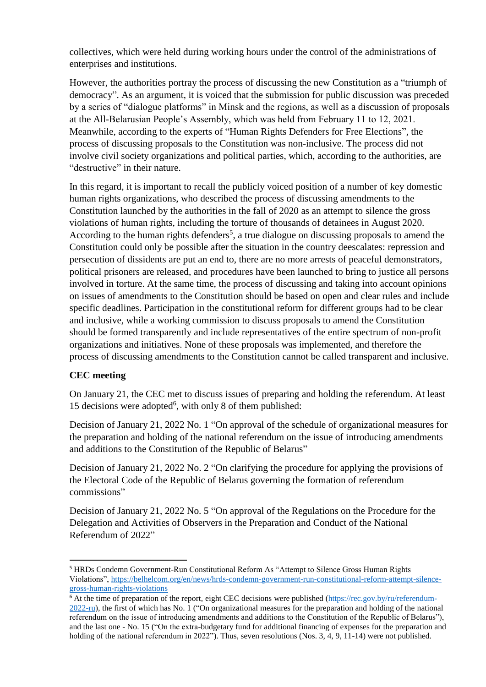collectives, which were held during working hours under the control of the administrations of enterprises and institutions.

However, the authorities portray the process of discussing the new Constitution as a "triumph of democracy". As an argument, it is voiced that the submission for public discussion was preceded by a series of "dialogue platforms" in Minsk and the regions, as well as a discussion of proposals at the All-Belarusian People's Assembly, which was held from February 11 to 12, 2021. Meanwhile, according to the experts of "Human Rights Defenders for Free Elections", the process of discussing proposals to the Constitution was non-inclusive. The process did not involve civil society organizations and political parties, which, according to the authorities, are "destructive" in their nature.

In this regard, it is important to recall the publicly voiced position of a number of key domestic human rights organizations, who described the process of discussing amendments to the Constitution launched by the authorities in the fall of 2020 as an attempt to silence the gross violations of human rights, including the torture of thousands of detainees in August 2020. According to the human rights defenders<sup>5</sup>, a true dialogue on discussing proposals to amend the Constitution could only be possible after the situation in the country deescalates: repression and persecution of dissidents are put an end to, there are no more arrests of peaceful demonstrators, political prisoners are released, and procedures have been launched to bring to justice all persons involved in torture. At the same time, the process of discussing and taking into account opinions on issues of amendments to the Constitution should be based on open and clear rules and include specific deadlines. Participation in the constitutional reform for different groups had to be clear and inclusive, while a working commission to discuss proposals to amend the Constitution should be formed transparently and include representatives of the entire spectrum of non-profit organizations and initiatives. None of these proposals was implemented, and therefore the process of discussing amendments to the Constitution cannot be called transparent and inclusive.

# **CEC meeting**

**.** 

On January 21, the CEC met to discuss issues of preparing and holding the referendum. At least 15 decisions were adopted<sup>6</sup>, with only 8 of them published:

Decision of January 21, 2022 No. 1 "On approval of the schedule of organizational measures for the preparation and holding of the national referendum on the issue of introducing amendments and additions to the Constitution of the Republic of Belarus"

Decision of January 21, 2022 No. 2 "On clarifying the procedure for applying the provisions of the Electoral Code of the Republic of Belarus governing the formation of referendum commissions"

Decision of January 21, 2022 No. 5 "On approval of the Regulations on the Procedure for the Delegation and Activities of Observers in the Preparation and Conduct of the National Referendum of 2022"

<sup>5</sup> HRDs Condemn Government-Run Constitutional Reform As "Attempt to Silence Gross Human Rights Violations", [https://belhelcom.org/en/news/hrds-condemn-government-run-constitutional-reform-attempt-silence](https://belhelcom.org/en/news/hrds-condemn-government-run-constitutional-reform-attempt-silence-gross-human-rights-violations)[gross-human-rights-violations](https://belhelcom.org/en/news/hrds-condemn-government-run-constitutional-reform-attempt-silence-gross-human-rights-violations)

 $6$  At the time of preparation of the report, eight CEC decisions were published [\(https://rec.gov.by/ru/referendum-](https://rec.gov.by/ru/referendum-2022-ru)[2022-ru\)](https://rec.gov.by/ru/referendum-2022-ru), the first of which has No. 1 ("On organizational measures for the preparation and holding of the national referendum on the issue of introducing amendments and additions to the Constitution of the Republic of Belarus"), and the last one - No. 15 ("On the extra-budgetary fund for additional financing of expenses for the preparation and holding of the national referendum in 2022"). Thus, seven resolutions (Nos. 3, 4, 9, 11-14) were not published.